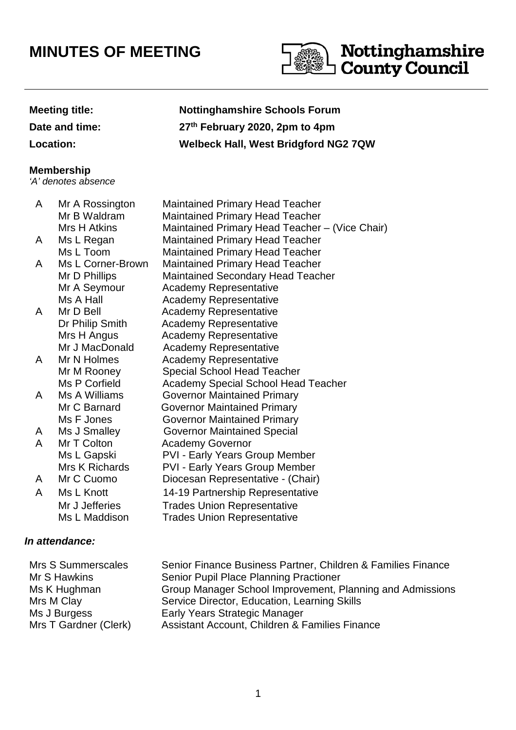# **MINUTES OF MEETING**



## **Meeting title: Nottinghamshire Schools Forum Date and time: 27th February 2020, 2pm to 4pm Location: Welbeck Hall, West Bridgford NG2 7QW**

#### **Membership**

'A' denotes absence

| A | Mr A Rossington   | <b>Maintained Primary Head Teacher</b>         |
|---|-------------------|------------------------------------------------|
|   | Mr B Waldram      | <b>Maintained Primary Head Teacher</b>         |
|   | Mrs H Atkins      | Maintained Primary Head Teacher - (Vice Chair) |
| A | Ms L Regan        | <b>Maintained Primary Head Teacher</b>         |
|   | Ms L Toom         | <b>Maintained Primary Head Teacher</b>         |
| A | Ms L Corner-Brown | <b>Maintained Primary Head Teacher</b>         |
|   | Mr D Phillips     | <b>Maintained Secondary Head Teacher</b>       |
|   | Mr A Seymour      | <b>Academy Representative</b>                  |
|   | Ms A Hall         | <b>Academy Representative</b>                  |
| A | Mr D Bell         | <b>Academy Representative</b>                  |
|   | Dr Philip Smith   | <b>Academy Representative</b>                  |
|   | Mrs H Angus       | <b>Academy Representative</b>                  |
|   | Mr J MacDonald    | <b>Academy Representative</b>                  |
| A | Mr N Holmes       | <b>Academy Representative</b>                  |
|   | Mr M Rooney       | <b>Special School Head Teacher</b>             |
|   | Ms P Corfield     | <b>Academy Special School Head Teacher</b>     |
| A | Ms A Williams     | <b>Governor Maintained Primary</b>             |
|   | Mr C Barnard      | Governor Maintained Primary                    |
|   | Ms F Jones        | <b>Governor Maintained Primary</b>             |
| A | Ms J Smalley      | <b>Governor Maintained Special</b>             |
| A | Mr T Colton       | <b>Academy Governor</b>                        |
|   | Ms L Gapski       | <b>PVI - Early Years Group Member</b>          |
|   | Mrs K Richards    | <b>PVI - Early Years Group Member</b>          |
| A | Mr C Cuomo        | Diocesan Representative - (Chair)              |
| A | Ms L Knott        | 14-19 Partnership Representative               |
|   | Mr J Jefferies    | <b>Trades Union Representative</b>             |
|   | Ms L Maddison     | <b>Trades Union Representative</b>             |

### **In attendance:**

| Mrs S Summerscales    | Senior Finance Business Partner, Children & Families Finance |
|-----------------------|--------------------------------------------------------------|
| Mr S Hawkins          | Senior Pupil Place Planning Practioner                       |
| Ms K Hughman          | Group Manager School Improvement, Planning and Admissions    |
| Mrs M Clay            | Service Director, Education, Learning Skills                 |
| Ms J Burgess          | Early Years Strategic Manager                                |
| Mrs T Gardner (Clerk) | Assistant Account, Children & Families Finance               |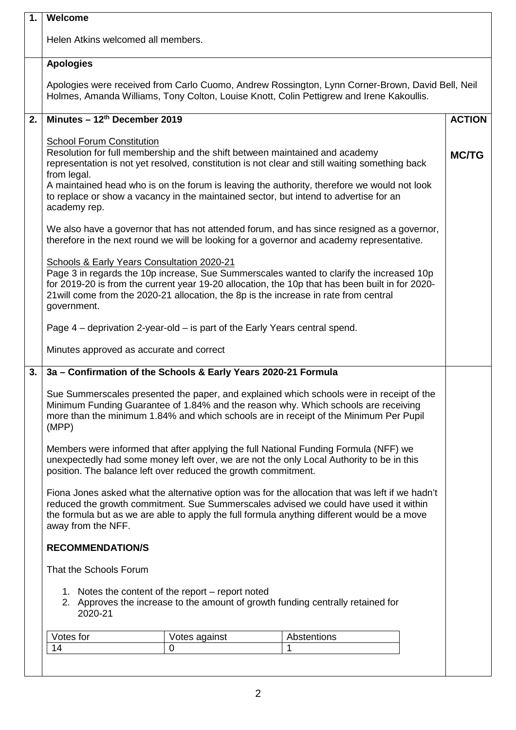| 1. | Welcome                                                                                                                                                                                                                                                                                                                                                                                                                                  |               |  |
|----|------------------------------------------------------------------------------------------------------------------------------------------------------------------------------------------------------------------------------------------------------------------------------------------------------------------------------------------------------------------------------------------------------------------------------------------|---------------|--|
|    | Helen Atkins welcomed all members.                                                                                                                                                                                                                                                                                                                                                                                                       |               |  |
|    | <b>Apologies</b>                                                                                                                                                                                                                                                                                                                                                                                                                         |               |  |
|    | Apologies were received from Carlo Cuomo, Andrew Rossington, Lynn Corner-Brown, David Bell, Neil<br>Holmes, Amanda Williams, Tony Colton, Louise Knott, Colin Pettigrew and Irene Kakoullis.                                                                                                                                                                                                                                             |               |  |
| 2. | Minutes - 12th December 2019                                                                                                                                                                                                                                                                                                                                                                                                             | <b>ACTION</b> |  |
|    | <b>School Forum Constitution</b><br>Resolution for full membership and the shift between maintained and academy<br>representation is not yet resolved, constitution is not clear and still waiting something back<br>from legal.<br>A maintained head who is on the forum is leaving the authority, therefore we would not look<br>to replace or show a vacancy in the maintained sector, but intend to advertise for an<br>academy rep. | <b>MC/TG</b>  |  |
|    | We also have a governor that has not attended forum, and has since resigned as a governor,<br>therefore in the next round we will be looking for a governor and academy representative.                                                                                                                                                                                                                                                  |               |  |
|    | Schools & Early Years Consultation 2020-21<br>Page 3 in regards the 10p increase, Sue Summerscales wanted to clarify the increased 10p<br>for 2019-20 is from the current year 19-20 allocation, the 10p that has been built in for 2020-<br>21 will come from the 2020-21 allocation, the 8p is the increase in rate from central<br>government.                                                                                        |               |  |
|    | Page 4 – deprivation 2-year-old – is part of the Early Years central spend.                                                                                                                                                                                                                                                                                                                                                              |               |  |
|    | Minutes approved as accurate and correct                                                                                                                                                                                                                                                                                                                                                                                                 |               |  |
| 3. | 3a - Confirmation of the Schools & Early Years 2020-21 Formula                                                                                                                                                                                                                                                                                                                                                                           |               |  |
|    | Sue Summerscales presented the paper, and explained which schools were in receipt of the<br>Minimum Funding Guarantee of 1.84% and the reason why. Which schools are receiving<br>more than the minimum 1.84% and which schools are in receipt of the Minimum Per Pupil<br>(MPP)                                                                                                                                                         |               |  |
|    | Members were informed that after applying the full National Funding Formula (NFF) we<br>unexpectedly had some money left over, we are not the only Local Authority to be in this<br>position. The balance left over reduced the growth commitment.                                                                                                                                                                                       |               |  |
|    | Fiona Jones asked what the alternative option was for the allocation that was left if we hadn't<br>reduced the growth commitment. Sue Summerscales advised we could have used it within<br>the formula but as we are able to apply the full formula anything different would be a move<br>away from the NFF.                                                                                                                             |               |  |
|    | <b>RECOMMENDATION/S</b>                                                                                                                                                                                                                                                                                                                                                                                                                  |               |  |
|    | That the Schools Forum                                                                                                                                                                                                                                                                                                                                                                                                                   |               |  |
|    | 1. Notes the content of the report – report noted<br>2. Approves the increase to the amount of growth funding centrally retained for<br>2020-21                                                                                                                                                                                                                                                                                          |               |  |
|    | Votes for<br>Abstentions<br>Votes against                                                                                                                                                                                                                                                                                                                                                                                                |               |  |
|    | 14<br>$\Omega$<br>1                                                                                                                                                                                                                                                                                                                                                                                                                      |               |  |
|    |                                                                                                                                                                                                                                                                                                                                                                                                                                          |               |  |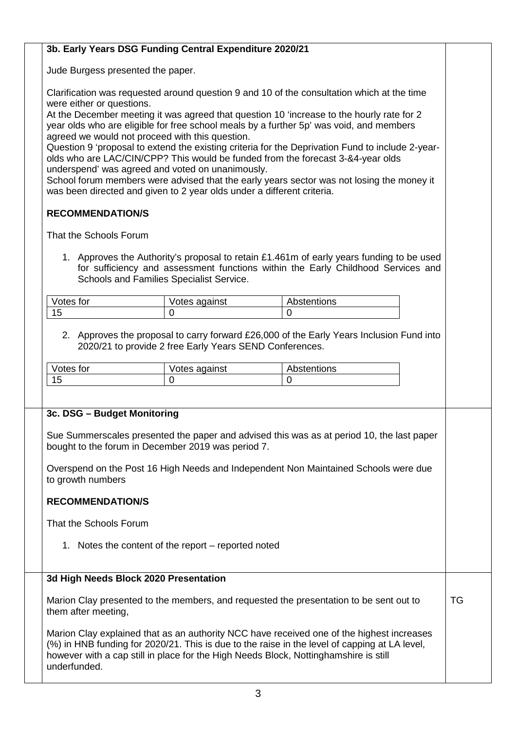#### **3b. Early Years DSG Funding Central Expenditure 2020/21**

Jude Burgess presented the paper.

Clarification was requested around question 9 and 10 of the consultation which at the time were either or questions.

At the December meeting it was agreed that question 10 'increase to the hourly rate for 2 year olds who are eligible for free school meals by a further 5p' was void, and members agreed we would not proceed with this question.

Question 9 'proposal to extend the existing criteria for the Deprivation Fund to include 2-yearolds who are LAC/CIN/CPP? This would be funded from the forecast 3-&4-year olds underspend' was agreed and voted on unanimously.

School forum members were advised that the early years sector was not losing the money it was been directed and given to 2 year olds under a different criteria.

#### **RECOMMENDATION/S**

That the Schools Forum

1. Approves the Authority's proposal to retain £1.461m of early years funding to be used for sufficiency and assessment functions within the Early Childhood Services and Schools and Families Specialist Service.

| Votes for | Votes against | Abstentions |
|-----------|---------------|-------------|
| v         |               |             |

2. Approves the proposal to carry forward £26,000 of the Early Years Inclusion Fund into 2020/21 to provide 2 free Early Years SEND Conferences.

| Votes for | Votes against | Abstentions |
|-----------|---------------|-------------|
| ı.        |               |             |

#### **3c. DSG – Budget Monitoring**

Sue Summerscales presented the paper and advised this was as at period 10, the last paper bought to the forum in December 2019 was period 7.

Overspend on the Post 16 High Needs and Independent Non Maintained Schools were due to growth numbers

#### **RECOMMENDATION/S**

That the Schools Forum

1. Notes the content of the report – reported noted

#### **3d High Needs Block 2020 Presentation**

Marion Clay presented to the members, and requested the presentation to be sent out to them after meeting,

TG

Marion Clay explained that as an authority NCC have received one of the highest increases (%) in HNB funding for 2020/21. This is due to the raise in the level of capping at LA level, however with a cap still in place for the High Needs Block, Nottinghamshire is still underfunded.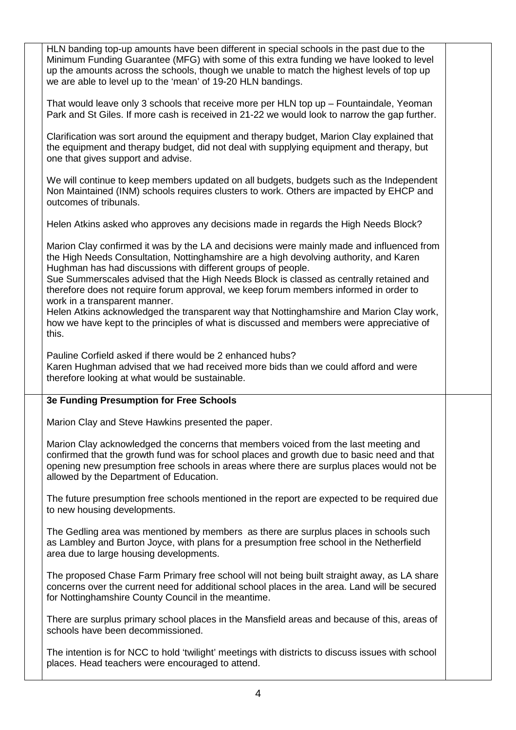HLN banding top-up amounts have been different in special schools in the past due to the Minimum Funding Guarantee (MFG) with some of this extra funding we have looked to level up the amounts across the schools, though we unable to match the highest levels of top up we are able to level up to the 'mean' of 19-20 HLN bandings.

That would leave only 3 schools that receive more per HLN top up – Fountaindale, Yeoman Park and St Giles. If more cash is received in 21-22 we would look to narrow the gap further.

Clarification was sort around the equipment and therapy budget, Marion Clay explained that the equipment and therapy budget, did not deal with supplying equipment and therapy, but one that gives support and advise.

We will continue to keep members updated on all budgets, budgets such as the Independent Non Maintained (INM) schools requires clusters to work. Others are impacted by EHCP and outcomes of tribunals.

Helen Atkins asked who approves any decisions made in regards the High Needs Block?

Marion Clay confirmed it was by the LA and decisions were mainly made and influenced from the High Needs Consultation, Nottinghamshire are a high devolving authority, and Karen Hughman has had discussions with different groups of people.

Sue Summerscales advised that the High Needs Block is classed as centrally retained and therefore does not require forum approval, we keep forum members informed in order to work in a transparent manner.

Helen Atkins acknowledged the transparent way that Nottinghamshire and Marion Clay work, how we have kept to the principles of what is discussed and members were appreciative of this.

Pauline Corfield asked if there would be 2 enhanced hubs?

Karen Hughman advised that we had received more bids than we could afford and were therefore looking at what would be sustainable.

#### **3e Funding Presumption for Free Schools**

Marion Clay and Steve Hawkins presented the paper.

Marion Clay acknowledged the concerns that members voiced from the last meeting and confirmed that the growth fund was for school places and growth due to basic need and that opening new presumption free schools in areas where there are surplus places would not be allowed by the Department of Education.

The future presumption free schools mentioned in the report are expected to be required due to new housing developments.

The Gedling area was mentioned by members as there are surplus places in schools such as Lambley and Burton Joyce, with plans for a presumption free school in the Netherfield area due to large housing developments.

The proposed Chase Farm Primary free school will not being built straight away, as LA share concerns over the current need for additional school places in the area. Land will be secured for Nottinghamshire County Council in the meantime.

There are surplus primary school places in the Mansfield areas and because of this, areas of schools have been decommissioned.

The intention is for NCC to hold 'twilight' meetings with districts to discuss issues with school places. Head teachers were encouraged to attend.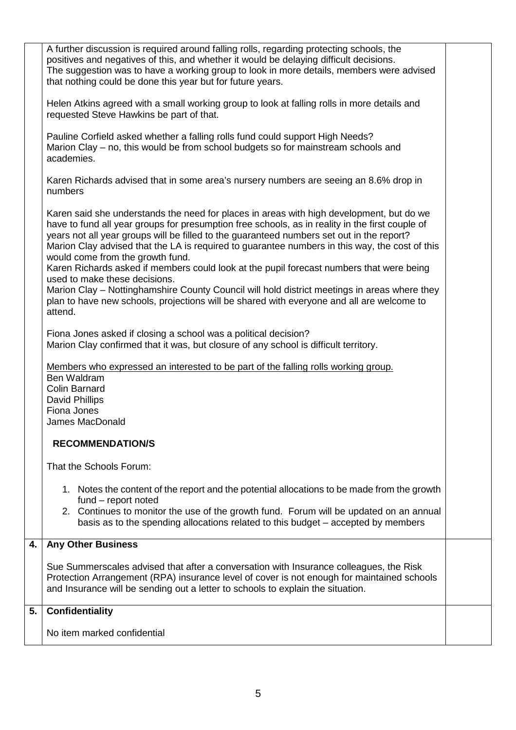|    | A further discussion is required around falling rolls, regarding protecting schools, the<br>positives and negatives of this, and whether it would be delaying difficult decisions.<br>The suggestion was to have a working group to look in more details, members were advised<br>that nothing could be done this year but for future years.                                                                                                                                                                                                                                                                                                                                                                                                                        |  |
|----|---------------------------------------------------------------------------------------------------------------------------------------------------------------------------------------------------------------------------------------------------------------------------------------------------------------------------------------------------------------------------------------------------------------------------------------------------------------------------------------------------------------------------------------------------------------------------------------------------------------------------------------------------------------------------------------------------------------------------------------------------------------------|--|
|    | Helen Atkins agreed with a small working group to look at falling rolls in more details and<br>requested Steve Hawkins be part of that.                                                                                                                                                                                                                                                                                                                                                                                                                                                                                                                                                                                                                             |  |
|    | Pauline Corfield asked whether a falling rolls fund could support High Needs?<br>Marion Clay – no, this would be from school budgets so for mainstream schools and<br>academies.                                                                                                                                                                                                                                                                                                                                                                                                                                                                                                                                                                                    |  |
|    | Karen Richards advised that in some area's nursery numbers are seeing an 8.6% drop in<br>numbers                                                                                                                                                                                                                                                                                                                                                                                                                                                                                                                                                                                                                                                                    |  |
|    | Karen said she understands the need for places in areas with high development, but do we<br>have to fund all year groups for presumption free schools, as in reality in the first couple of<br>years not all year groups will be filled to the guaranteed numbers set out in the report?<br>Marion Clay advised that the LA is required to guarantee numbers in this way, the cost of this<br>would come from the growth fund.<br>Karen Richards asked if members could look at the pupil forecast numbers that were being<br>used to make these decisions.<br>Marion Clay - Nottinghamshire County Council will hold district meetings in areas where they<br>plan to have new schools, projections will be shared with everyone and all are welcome to<br>attend. |  |
|    | Fiona Jones asked if closing a school was a political decision?<br>Marion Clay confirmed that it was, but closure of any school is difficult territory.                                                                                                                                                                                                                                                                                                                                                                                                                                                                                                                                                                                                             |  |
|    | Members who expressed an interested to be part of the falling rolls working group.<br>Ben Waldram<br><b>Colin Barnard</b><br>David Phillips<br>Fiona Jones<br>James MacDonald                                                                                                                                                                                                                                                                                                                                                                                                                                                                                                                                                                                       |  |
|    | <b>RECOMMENDATION/S</b>                                                                                                                                                                                                                                                                                                                                                                                                                                                                                                                                                                                                                                                                                                                                             |  |
|    | That the Schools Forum:                                                                                                                                                                                                                                                                                                                                                                                                                                                                                                                                                                                                                                                                                                                                             |  |
|    | 1. Notes the content of the report and the potential allocations to be made from the growth<br>fund - report noted<br>2. Continues to monitor the use of the growth fund. Forum will be updated on an annual<br>basis as to the spending allocations related to this budget – accepted by members                                                                                                                                                                                                                                                                                                                                                                                                                                                                   |  |
| 4. | <b>Any Other Business</b>                                                                                                                                                                                                                                                                                                                                                                                                                                                                                                                                                                                                                                                                                                                                           |  |
|    | Sue Summerscales advised that after a conversation with Insurance colleagues, the Risk<br>Protection Arrangement (RPA) insurance level of cover is not enough for maintained schools<br>and Insurance will be sending out a letter to schools to explain the situation.                                                                                                                                                                                                                                                                                                                                                                                                                                                                                             |  |
| 5. | <b>Confidentiality</b>                                                                                                                                                                                                                                                                                                                                                                                                                                                                                                                                                                                                                                                                                                                                              |  |
|    | No item marked confidential                                                                                                                                                                                                                                                                                                                                                                                                                                                                                                                                                                                                                                                                                                                                         |  |
|    |                                                                                                                                                                                                                                                                                                                                                                                                                                                                                                                                                                                                                                                                                                                                                                     |  |